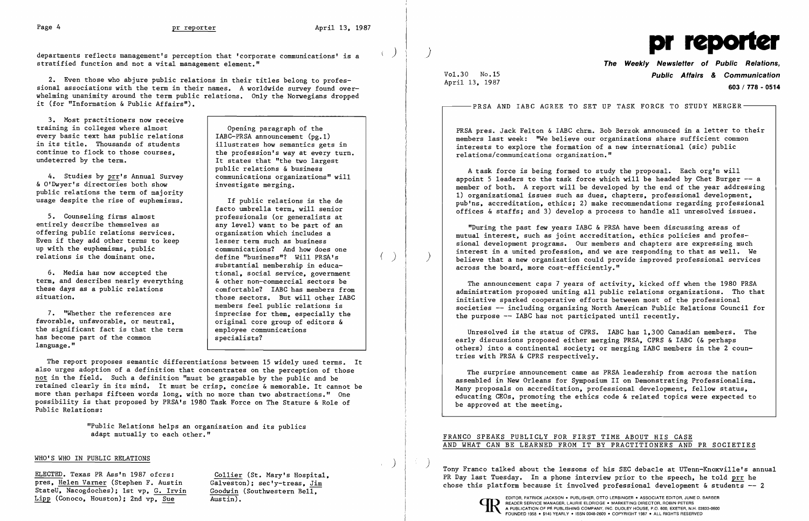I



2. Even those who abjure public relations in their titles belong to professional associations with the term in their names. A worldwide survey found overwhelming unanimity around the term public relations. Only the Norwegians dropped it (for "Information & Public Affairs").

stratified function and not a vital management element."

facto umbrella term. will senior organization which includes a communications? And how does one define "business"? Will PRSA's substantial membership in educathose sectors. But will other IABC members feel public relations is 7. "Whether the references are  $\begin{array}{c|c} 7. & \text{``Whether the references are} & \text{inprecise for them, especially the} \\ \text{favorable, unfavorable, or neutral.} & \text{original core group of editors &} \end{array}$ original core group of editors &<br>employee communications

3. Most practitioners now receive training in colleges where almost every basic text has public relations in its title. Thousands of students continue to flock to those courses. undeterred by the term.

4. Studies by  $\frac{prr}{s}$  Annual Survey communications organ:<br>" Dwyer's directories both show investigate merging. & O'Dwyer's directories both show public relations the term of majority usage despite the rise of euphemisms. If public relations is the de

5. Counseling firms almost<br>entirely describe themselves as<br>any level) want to be part of an entirely describe themselves as any level) want to be part of an offering public relations services. Even if they add other terms to keep<br>up with the euphemisms, public relations is the dominant one.

6. Media has now accepted the  $\begin{array}{|l|l|}\n\hline\n\text{t.} & \text{m.} & \text{m.} \\
\hline\n\text{t.} & \text{m.} & \text{m.} \\
\hline\n\text{t.} & \text{m.} & \text{m.} \\
\hline\n\text{t.} & \text{m.} & \text{m.} \\
\hline\n\text{t.} & \text{m.} & \text{m.} \\
\hline\n\text{t.} & \text{m.} & \text{m.} \\
\hline\n\text{t.} & \text{m.} & \text{m.} \\
\hline$ term, and describes nearly everything<br>these days as a public relations these days as a public relations  $\begin{array}{c|c}\n\text{cm} & \text{confortable?} & \text{IABC has members from} \\
\text{situation.} & \text{those sectors.} & \text{But will other IABC}\n\end{array}$ 

the significant fact is that the term  $\begin{array}{|l|l|}\n\hline\n\text{has become part of the common} & \text{specialists?}\n\end{array}$ has become part of the common language."

**Opening paragraph of the** IABC-PRSA announcement (pg.1) illustrates how semantics gets in the profession's way at every turn. It states that "the two largest public relations & business<br>communications organizations" will

> Unresolved is the status of CPRS. IABC has 1.300 Canadian members. The early discussions proposed either merging PRSA. CPRS & IABC (& perhaps others) into a continental society; or merging IABC members in the 2 countries with PRSA & CPRS respectively.

The report proposes semantic differentiations between 15 widely used terms. It also urges adoption of a definition that concentrates on the perception of those not in the field. Such a definition "must be graspable by the public and be retained clearly in its mind. It must be crisp, concise & memorable. It cannot be more than perhaps fifteen words long. with no more than two abstractions." One possibility is that proposed by PRSA's 1980 Task Force on The Stature & Role of Public Relations:

> "Public Relations helps an organization and its publics adapt mutually to each other."

### WHO'S WHO IN PUBLIC RELATIONS

ELECTED. Texas PR Ass'n 1987 ofcrs: Collier (St. Mary's Hospital, pres, Helen Varner (Stephen F. Austin Galveston); sec'y-treas, Jim pres, Helen Varner (Stephen F. Austin Galveston); sec'y-treas, Jim<br>StateU, Nacogdoches); 1st vp, G. Irvin Goodwin (Southwestern Bell, StateU. Nacogdoches); 1st vp. G. Irvin Goodwin Lipp (Conoco. Houston); 2nd vp. Sue Austin).

# **The Weekly Newsletter of Public Relations,**  Vol. 30 No. 15 **Public Affairs & Communication 603/ 778 - 0514**

April 13. 1987

 $\left(\begin{array}{c} \lambda \\ \lambda \end{array}\right)$ 

PRSA pres. Jack Felton & IABC chrm. Bob Berzok announced in a letter to their members last week: "We believe our organizations share sufficient common interests to explore the formation of a new international (sic) public relations/communications organization."

A task force is being formed to study the proposal. Each org'n will appoint 5 leaders to the task force which will be headed by Chet Burger  $-$ - a member of both. A report will be developed by the end of the year addressing 1) organizational issues such as dues, chapters, professional development, pub'ns. accreditation. ethics; 2) make recommendations regarding professional offices & staffs; and 3) develop a process to handle all unresolved issues.

"During the past few years IABC & PRSA have been discussing areas of mutual interest. such as joint accreditation. ethics policies and professional development programs. Our members and chapters are expressing much interest in a united profession. and we are responding to that as well. We believe that a new organization could provide improved professional services across the board. more cost-efficiently."

The announcement caps 7 years of activity. kicked off when the 1980 PRSA administration proposed uniting all public relations organizations. Tho that initiative sparked cooperative efforts between most of the professional societies -- including organizing North American Public Relations Council for the purpose -- IABC has not participated until recently.

The surprise announcement came as PRSA leadership from across the nation assembled in New Orleans for Symposium II on Demonstrating Professionalism. Many proposals on accreditation. professional development. fellow status. educating CEOs. promoting the ethics code & related topics were expected to be approved at the meeting.

## FRANCO SPEAKS PUBLICLY FOR FIRST TIME ABOUT HIS CASE AND WHAT CAN BE LEARNED FROM IT BY PRACTITIONERS AND PR SOCIETIES

Tony Franco talked about the lessons of his SEC debacle at UTenn-Knoxville's annual PR Day last Tuesday. In a phone interview prior to the speech. he told prr he chose this platform because it involved professional development & students -- <sup>2</sup>



) )

-PRSA AND IABC AGREE TO SET UP TASK FORCE TO STUDY MERGER $\mathrm{-}$